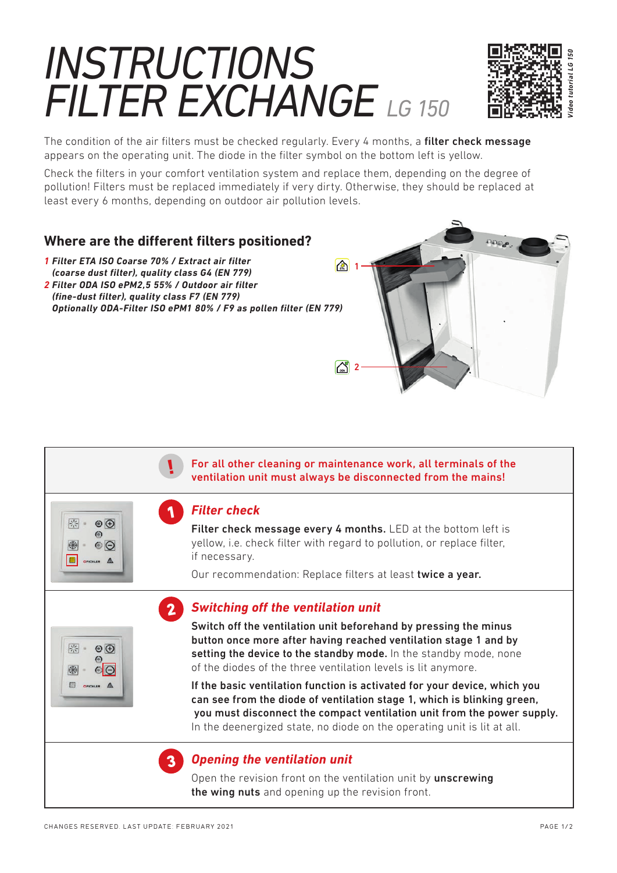# *INSTRUCTIONS FILTER EXCHANGE LG 150*



The condition of the air filters must be checked regularly. Every 4 months, a filter check message appears on the operating unit. The diode in the filter symbol on the bottom left is yellow.

Check the filters in your comfort ventilation system and replace them, depending on the degree of pollution! Filters must be replaced immediately if very dirty. Otherwise, they should be replaced at least every 6 months, depending on outdoor air pollution levels.



 For all other cleaning or maintenance work, all terminals of the ventilation unit must always be disconnected from the mains!

## *Filter check*

!

1

聚

 $\blacksquare$ 

除

图

 $\circledcirc$ 

 $O$  $O$ 

 $\circledcirc$  $\omega$  $\odot$  Filter check message every 4 months. LED at the bottom left is yellow, i.e. check filter with regard to pollution, or replace filter, if necessary.

Our recommendation: Replace filters at least twice a year.

#### 2*Switching off the ventilation unit*



If the basic ventilation function is activated for your device, which you can see from the diode of ventilation stage 1, which is blinking green, you must disconnect the compact ventilation unit from the power supply. In the deenergized state, no diode on the operating unit is lit at all.



## **Opening the ventilation unit**

Open the revision front on the ventilation unit by **unscrewing** the wing nuts and opening up the revision front.